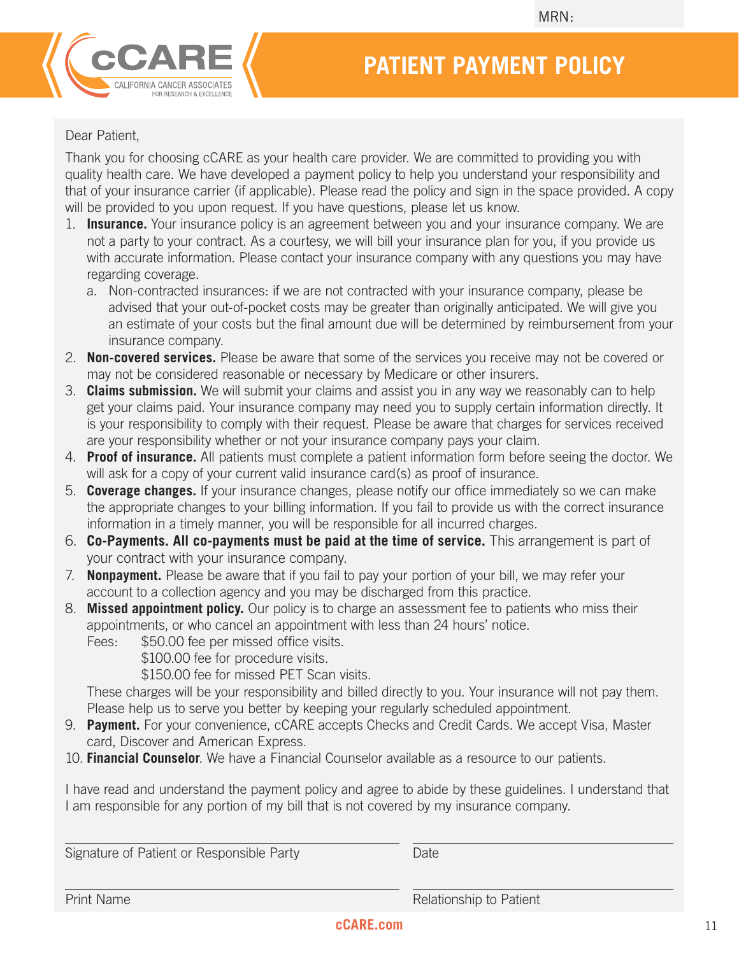

# **PATIENT PAYMENT POLICY**

#### Dear Patient,

Thank you for choosing cCARE as your health care provider. We are committed to providing you with quality health care. We have developed a payment policy to help you understand your responsibility and that of your insurance carrier (if applicable). Please read the policy and sign in the space provided. A copy will be provided to you upon request. If you have questions, please let us know.

- 1. **Insurance.** Your insurance policy is an agreement between you and your insurance company. We are not a party to your contract. As a courtesy, we will bill your insurance plan for you, if you provide us with accurate information. Please contact your insurance company with any questions you may have regarding coverage.
	- a. Non-contracted insurances: if we are not contracted with your insurance company, please be advised that your out-of-pocket costs may be greater than originally anticipated. We will give you an estimate of your costs but the final amount due will be determined by reimbursement from your insurance company.
- 2. **Non-covered services.** Please be aware that some of the services you receive may not be covered or may not be considered reasonable or necessary by Medicare or other insurers.
- 3. **Claims submission.** We will submit your claims and assist you in any way we reasonably can to help get your claims paid. Your insurance company may need you to supply certain information directly. It is your responsibility to comply with their request. Please be aware that charges for services received are your responsibility whether or not your insurance company pays your claim.
- 4. **Proof of insurance.** All patients must complete a patient information form before seeing the doctor. We will ask for a copy of your current valid insurance card(s) as proof of insurance.
- 5. **Coverage changes.** If your insurance changes, please notify our office immediately so we can make the appropriate changes to your billing information. If you fail to provide us with the correct insurance information in a timely manner, you will be responsible for all incurred charges.
- 6. **Co-Payments. All co-payments must be paid at the time of service.** This arrangement is part of your contract with your insurance company.
- 7. **Nonpayment.** Please be aware that if you fail to pay your portion of your bill, we may refer your account to a collection agency and you may be discharged from this practice.
- 8. **Missed appointment policy.** Our policy is to charge an assessment fee to patients who miss their appointments, or who cancel an appointment with less than 24 hours' notice.
	- Fees:  $$50.00$  fee per missed office visits.

\$100.00 fee for procedure visits.

\$150.00 fee for missed PET Scan visits.

These charges will be your responsibility and billed directly to you. Your insurance will not pay them. Please help us to serve you better by keeping your regularly scheduled appointment.

- 9. **Payment.** For your convenience, cCARE accepts Checks and Credit Cards. We accept Visa, Master card, Discover and American Express.
- 10. **Financial Counselor**. We have a Financial Counselor available as a resource to our patients.

I have read and understand the payment policy and agree to abide by these guidelines. I understand that I am responsible for any portion of my bill that is not covered by my insurance company.

| Signature of Patient or Responsible Party | Date                    |
|-------------------------------------------|-------------------------|
| <b>Print Name</b>                         | Relationship to Patient |

#### **cCARE.com**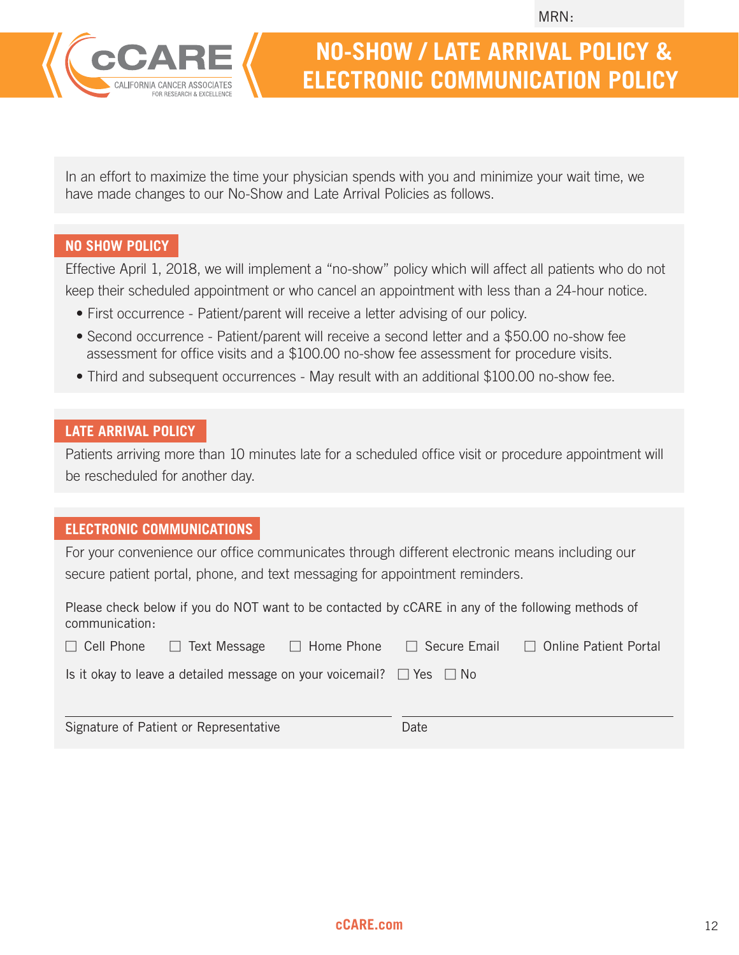

# **NO-SHOW / LATE ARRIVAL POLICY & ELECTRONIC COMMUNICATION POLICY**

In an effort to maximize the time your physician spends with you and minimize your wait time, we have made changes to our No-Show and Late Arrival Policies as follows.

### **NO SHOW POLICY**

Effective April 1, 2018, we will implement a "no-show" policy which will affect all patients who do not keep their scheduled appointment or who cancel an appointment with less than a 24-hour notice.

- First occurrence Patient/parent will receive a letter advising of our policy.
- Second occurrence Patient/parent will receive a second letter and a \$50.00 no-show fee assessment for office visits and a \$100.00 no-show fee assessment for procedure visits.
- Third and subsequent occurrences May result with an additional \$100.00 no-show fee.

## **LATE ARRIVAL POLICY**

Patients arriving more than 10 minutes late for a scheduled office visit or procedure appointment will be rescheduled for another day.

### **ELECTRONIC COMMUNICATIONS**

For your convenience our office communicates through different electronic means including our secure patient portal, phone, and text messaging for appointment reminders.

Please check below if you do NOT want to be contacted by cCARE in any of the following methods of communication:

| $\Box$ Cell Phone $\Box$ Text Message                                          | $\Box$ Home Phone | □ Secure Email □ Online Patient Portal |
|--------------------------------------------------------------------------------|-------------------|----------------------------------------|
| Is it okay to leave a detailed message on your voicemail? $\Box$ Yes $\Box$ No |                   |                                        |
|                                                                                |                   |                                        |

Signature of Patient or Representative Date